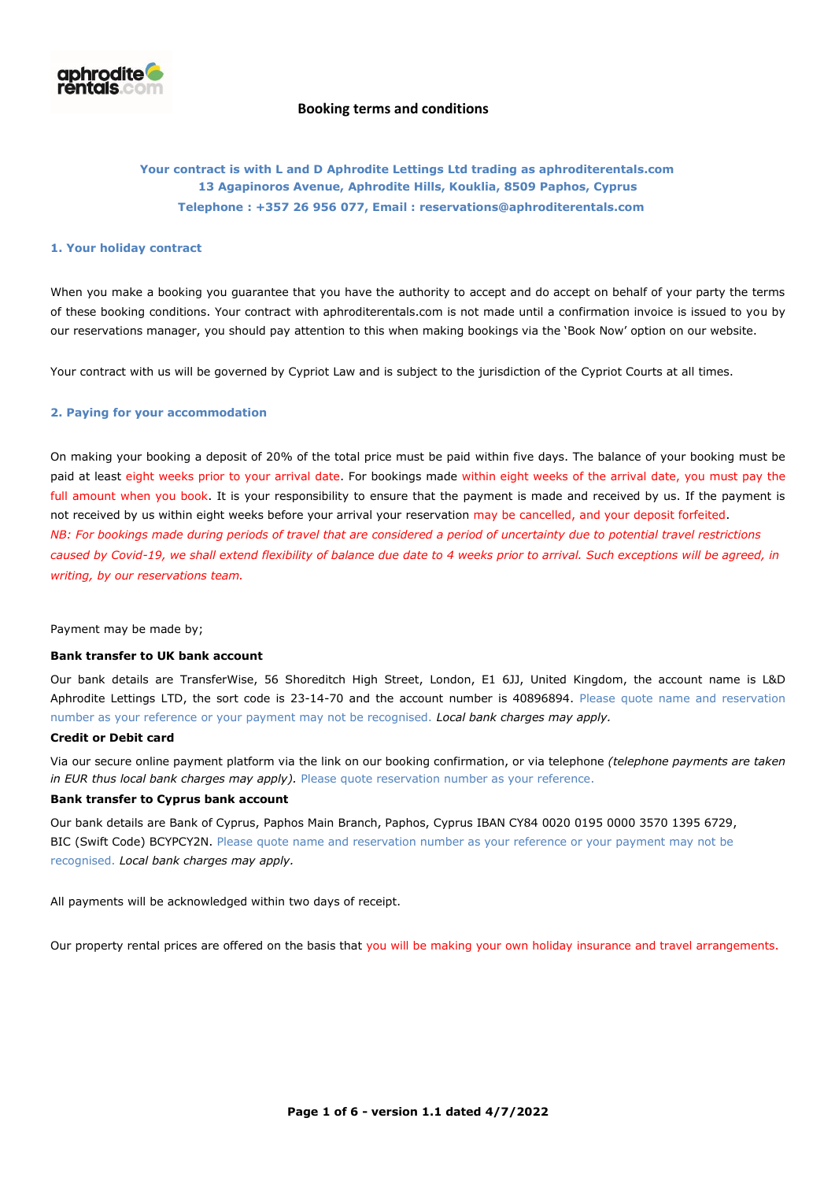

# **Your contract is with L and D Aphrodite Lettings Ltd trading as aphroditerentals.com 13 Agapinoros Avenue, Aphrodite Hills, Kouklia, 8509 Paphos, Cyprus Telephone : +357 26 956 077, Email : reservations@aphroditerentals.com**

#### **1. Your holiday contract**

When you make a booking you guarantee that you have the authority to accept and do accept on behalf of your party the terms of these booking conditions. Your contract with aphroditerentals.com is not made until a confirmation invoice is issued to you by our reservations manager, you should pay attention to this when making bookings via the 'Book Now' option on our website.

Your contract with us will be governed by Cypriot Law and is subject to the jurisdiction of the Cypriot Courts at all times.

### **2. Paying for your accommodation**

On making your booking a deposit of 20% of the total price must be paid within five days. The balance of your booking must be paid at least eight weeks prior to your arrival date. For bookings made within eight weeks of the arrival date, you must pay the full amount when you book. It is your responsibility to ensure that the payment is made and received by us. If the payment is not received by us within eight weeks before your arrival your reservation may be cancelled, and your deposit forfeited. *NB: For bookings made during periods of travel that are considered a period of uncertainty due to potential travel restrictions caused by Covid-19, we shall extend flexibility of balance due date to 4 weeks prior to arrival. Such exceptions will be agreed, in writing, by our reservations team.*

Payment may be made by;

#### **Bank transfer to UK bank account**

Our bank details are TransferWise, 56 Shoreditch High Street, London, E1 6JJ, United Kingdom, the account name is L&D Aphrodite Lettings LTD, the sort code is 23-14-70 and the account number is 40896894. Please quote name and reservation number as your reference or your payment may not be recognised. *Local bank charges may apply.*

### **Credit or Debit card**

Via our secure online payment platform via the link on our booking confirmation, or via telephone *(telephone payments are taken in EUR thus local bank charges may apply).* Please quote reservation number as your reference.

### **Bank transfer to Cyprus bank account**

Our bank details are Bank of Cyprus, Paphos Main Branch, Paphos, Cyprus IBAN CY84 0020 0195 0000 3570 1395 6729, BIC (Swift Code) BCYPCY2N. Please quote name and reservation number as your reference or your payment may not be recognised. *Local bank charges may apply.*

All payments will be acknowledged within two days of receipt.

Our property rental prices are offered on the basis that you will be making your own holiday insurance and travel arrangements.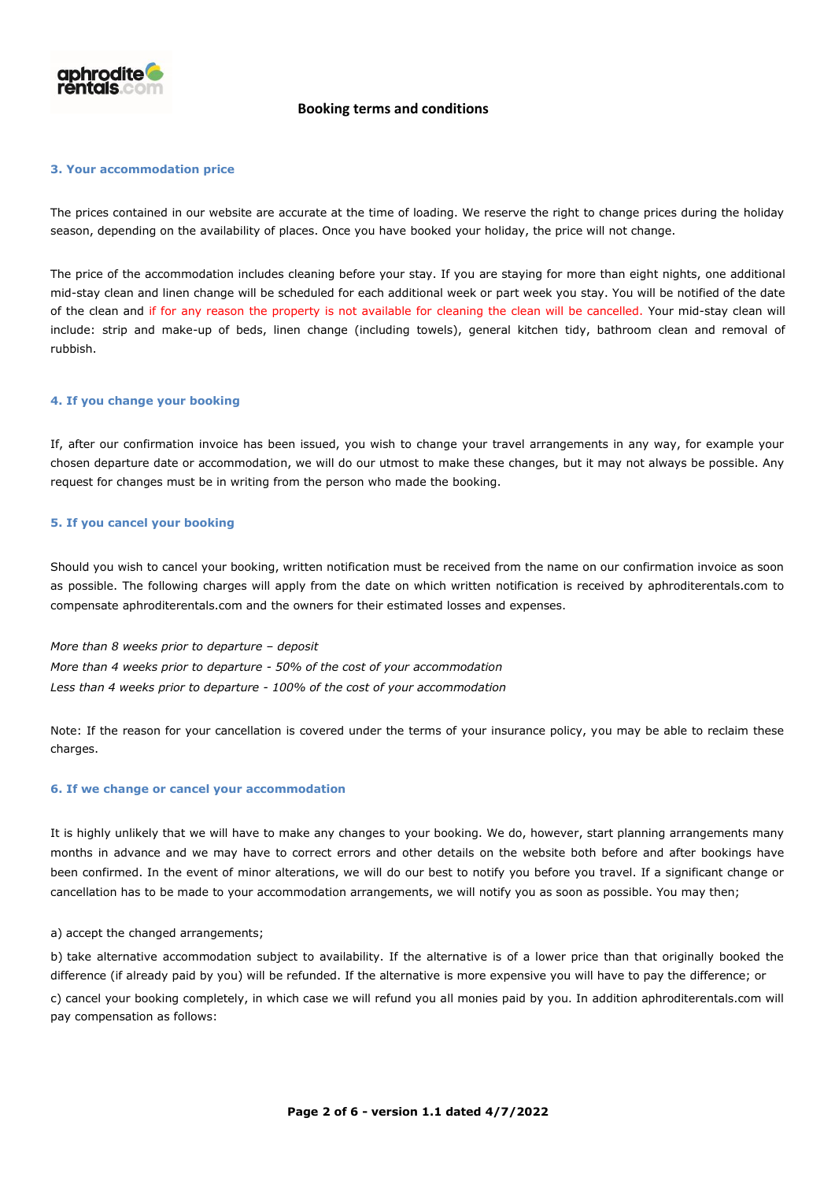

### **3. Your accommodation price**

The prices contained in our website are accurate at the time of loading. We reserve the right to change prices during the holiday season, depending on the availability of places. Once you have booked your holiday, the price will not change.

The price of the accommodation includes cleaning before your stay. If you are staying for more than eight nights, one additional mid-stay clean and linen change will be scheduled for each additional week or part week you stay. You will be notified of the date of the clean and if for any reason the property is not available for cleaning the clean will be cancelled. Your mid-stay clean will include: strip and make-up of beds, linen change (including towels), general kitchen tidy, bathroom clean and removal of rubbish.

### **4. If you change your booking**

If, after our confirmation invoice has been issued, you wish to change your travel arrangements in any way, for example your chosen departure date or accommodation, we will do our utmost to make these changes, but it may not always be possible. Any request for changes must be in writing from the person who made the booking.

### **5. If you cancel your booking**

Should you wish to cancel your booking, written notification must be received from the name on our confirmation invoice as soon as possible. The following charges will apply from the date on which written notification is received by aphroditerentals.com to compensate aphroditerentals.com and the owners for their estimated losses and expenses.

*More than 8 weeks prior to departure – deposit More than 4 weeks prior to departure - 50% of the cost of your accommodation Less than 4 weeks prior to departure - 100% of the cost of your accommodation*

Note: If the reason for your cancellation is covered under the terms of your insurance policy, you may be able to reclaim these charges.

#### **6. If we change or cancel your accommodation**

It is highly unlikely that we will have to make any changes to your booking. We do, however, start planning arrangements many months in advance and we may have to correct errors and other details on the website both before and after bookings have been confirmed. In the event of minor alterations, we will do our best to notify you before you travel. If a significant change or cancellation has to be made to your accommodation arrangements, we will notify you as soon as possible. You may then;

#### a) accept the changed arrangements;

b) take alternative accommodation subject to availability. If the alternative is of a lower price than that originally booked the difference (if already paid by you) will be refunded. If the alternative is more expensive you will have to pay the difference; or

c) cancel your booking completely, in which case we will refund you all monies paid by you. In addition aphroditerentals.com will pay compensation as follows: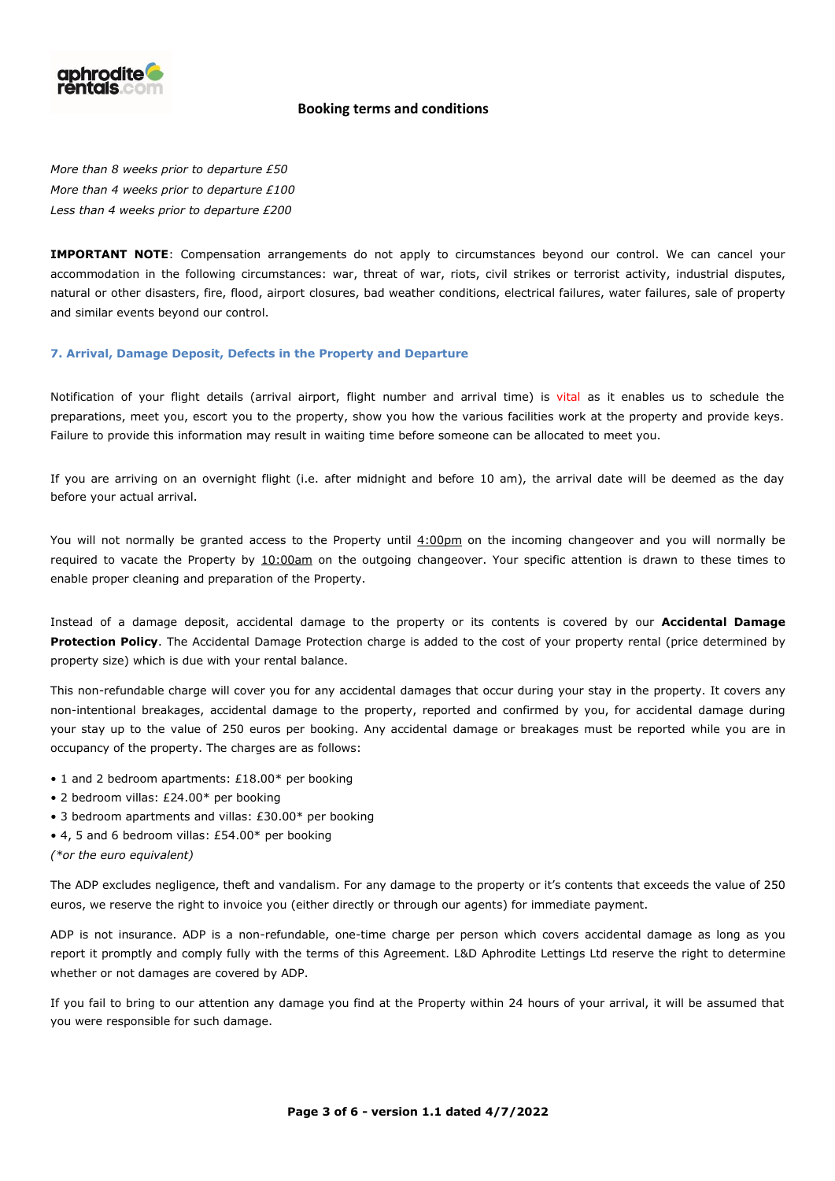

*More than 8 weeks prior to departure £50 More than 4 weeks prior to departure £100 Less than 4 weeks prior to departure £200*

**IMPORTANT NOTE**: Compensation arrangements do not apply to circumstances beyond our control. We can cancel your accommodation in the following circumstances: war, threat of war, riots, civil strikes or terrorist activity, industrial disputes, natural or other disasters, fire, flood, airport closures, bad weather conditions, electrical failures, water failures, sale of property and similar events beyond our control.

### **7. Arrival, Damage Deposit, Defects in the Property and Departure**

Notification of your flight details (arrival airport, flight number and arrival time) is vital as it enables us to schedule the preparations, meet you, escort you to the property, show you how the various facilities work at the property and provide keys. Failure to provide this information may result in waiting time before someone can be allocated to meet you.

If you are arriving on an overnight flight (i.e. after midnight and before 10 am), the arrival date will be deemed as the day before your actual arrival.

You will not normally be granted access to the Property until  $4:00\text{pm}$  on the incoming changeover and you will normally be required to vacate the Property by 10:00am on the outgoing changeover. Your specific attention is drawn to these times to enable proper cleaning and preparation of the Property.

Instead of a damage deposit, accidental damage to the property or its contents is covered by our **Accidental Damage Protection Policy**. The Accidental Damage Protection charge is added to the cost of your property rental (price determined by property size) which is due with your rental balance.

This non-refundable charge will cover you for any accidental damages that occur during your stay in the property. It covers any non-intentional breakages, accidental damage to the property, reported and confirmed by you, for accidental damage during your stay up to the value of 250 euros per booking. Any accidental damage or breakages must be reported while you are in occupancy of the property. The charges are as follows:

- 1 and 2 bedroom apartments: £18.00\* per booking
- 2 bedroom villas: £24.00\* per booking
- 3 bedroom apartments and villas: £30.00\* per booking
- 4, 5 and 6 bedroom villas: £54.00\* per booking
- *(\*or the euro equivalent)*

The ADP excludes negligence, theft and vandalism. For any damage to the property or it's contents that exceeds the value of 250 euros, we reserve the right to invoice you (either directly or through our agents) for immediate payment.

ADP is not insurance. ADP is a non-refundable, one-time charge per person which covers accidental damage as long as you report it promptly and comply fully with the terms of this Agreement. L&D Aphrodite Lettings Ltd reserve the right to determine whether or not damages are covered by ADP.

If you fail to bring to our attention any damage you find at the Property within 24 hours of your arrival, it will be assumed that you were responsible for such damage.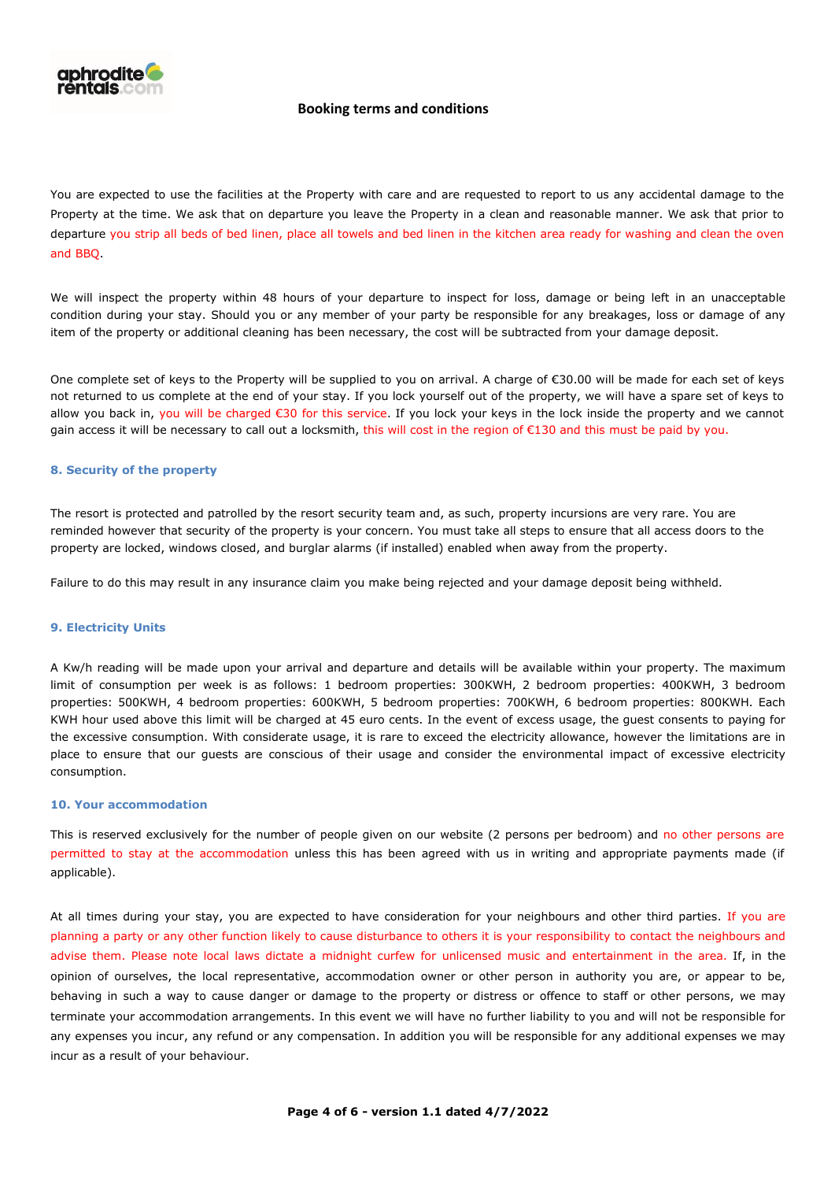

You are expected to use the facilities at the Property with care and are requested to report to us any accidental damage to the Property at the time. We ask that on departure you leave the Property in a clean and reasonable manner. We ask that prior to departure you strip all beds of bed linen, place all towels and bed linen in the kitchen area ready for washing and clean the oven and BBQ.

We will inspect the property within 48 hours of your departure to inspect for loss, damage or being left in an unacceptable condition during your stay. Should you or any member of your party be responsible for any breakages, loss or damage of any item of the property or additional cleaning has been necessary, the cost will be subtracted from your damage deposit.

One complete set of keys to the Property will be supplied to you on arrival. A charge of €30.00 will be made for each set of keys not returned to us complete at the end of your stay. If you lock yourself out of the property, we will have a spare set of keys to allow you back in, you will be charged €30 for this service. If you lock your keys in the lock inside the property and we cannot gain access it will be necessary to call out a locksmith, this will cost in the region of €130 and this must be paid by you.

### **8. Security of the property**

The resort is protected and patrolled by the resort security team and, as such, property incursions are very rare. You are reminded however that security of the property is your concern. You must take all steps to ensure that all access doors to the property are locked, windows closed, and burglar alarms (if installed) enabled when away from the property.

Failure to do this may result in any insurance claim you make being rejected and your damage deposit being withheld.

#### **9. Electricity Units**

A Kw/h reading will be made upon your arrival and departure and details will be available within your property. The maximum limit of consumption per week is as follows: 1 bedroom properties: 300KWH, 2 bedroom properties: 400KWH, 3 bedroom properties: 500KWH, 4 bedroom properties: 600KWH, 5 bedroom properties: 700KWH, 6 bedroom properties: 800KWH. Each KWH hour used above this limit will be charged at 45 euro cents. In the event of excess usage, the guest consents to paying for the excessive consumption. With considerate usage, it is rare to exceed the electricity allowance, however the limitations are in place to ensure that our guests are conscious of their usage and consider the environmental impact of excessive electricity consumption.

### **10. Your accommodation**

This is reserved exclusively for the number of people given on our website (2 persons per bedroom) and no other persons are permitted to stay at the accommodation unless this has been agreed with us in writing and appropriate payments made (if applicable).

At all times during your stay, you are expected to have consideration for your neighbours and other third parties. If you are planning a party or any other function likely to cause disturbance to others it is your responsibility to contact the neighbours and advise them. Please note local laws dictate a midnight curfew for unlicensed music and entertainment in the area. If, in the opinion of ourselves, the local representative, accommodation owner or other person in authority you are, or appear to be, behaving in such a way to cause danger or damage to the property or distress or offence to staff or other persons, we may terminate your accommodation arrangements. In this event we will have no further liability to you and will not be responsible for any expenses you incur, any refund or any compensation. In addition you will be responsible for any additional expenses we may incur as a result of your behaviour.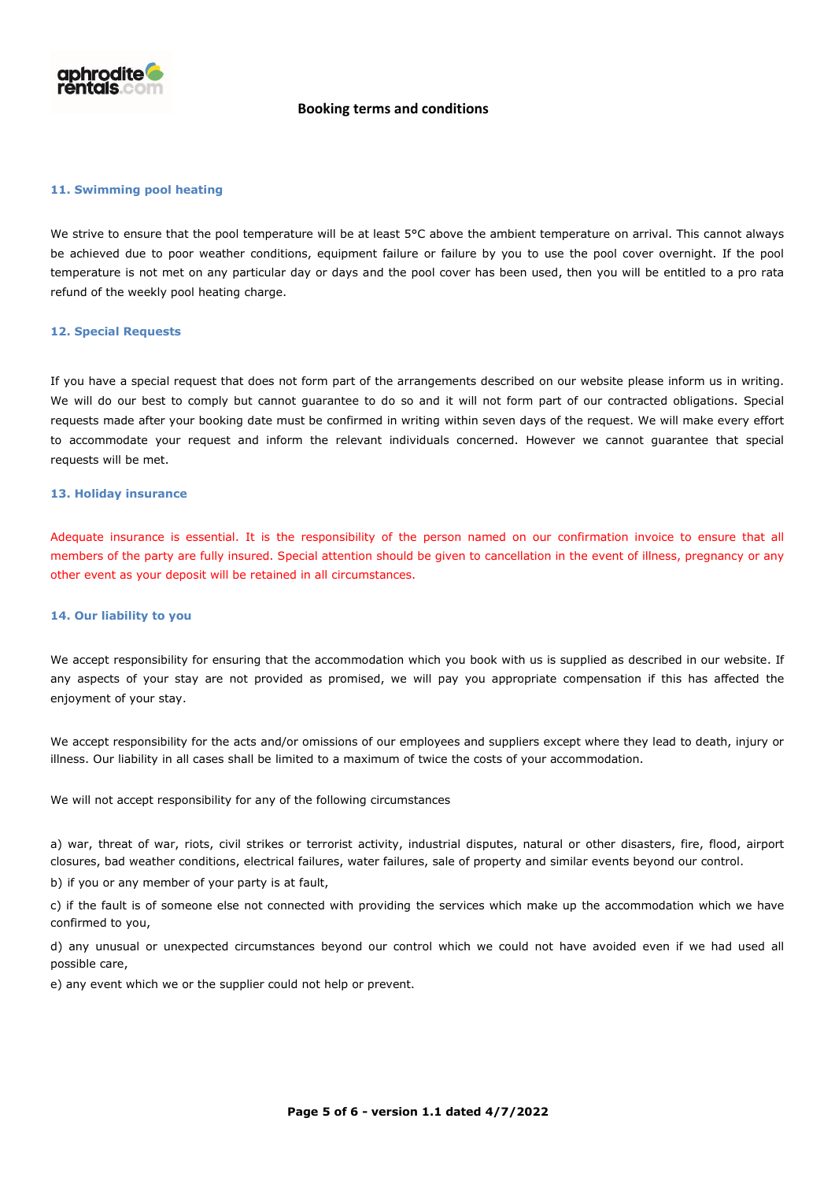

### **11. Swimming pool heating**

We strive to ensure that the pool temperature will be at least 5°C above the ambient temperature on arrival. This cannot always be achieved due to poor weather conditions, equipment failure or failure by you to use the pool cover overnight. If the pool temperature is not met on any particular day or days and the pool cover has been used, then you will be entitled to a pro rata refund of the weekly pool heating charge.

### **12. Special Requests**

If you have a special request that does not form part of the arrangements described on our website please inform us in writing. We will do our best to comply but cannot guarantee to do so and it will not form part of our contracted obligations. Special requests made after your booking date must be confirmed in writing within seven days of the request. We will make every effort to accommodate your request and inform the relevant individuals concerned. However we cannot guarantee that special requests will be met.

### **13. Holiday insurance**

Adequate insurance is essential. It is the responsibility of the person named on our confirmation invoice to ensure that all members of the party are fully insured. Special attention should be given to cancellation in the event of illness, pregnancy or any other event as your deposit will be retained in all circumstances.

### **14. Our liability to you**

We accept responsibility for ensuring that the accommodation which you book with us is supplied as described in our website. If any aspects of your stay are not provided as promised, we will pay you appropriate compensation if this has affected the enjoyment of your stay.

We accept responsibility for the acts and/or omissions of our employees and suppliers except where they lead to death, injury or illness. Our liability in all cases shall be limited to a maximum of twice the costs of your accommodation.

We will not accept responsibility for any of the following circumstances

a) war, threat of war, riots, civil strikes or terrorist activity, industrial disputes, natural or other disasters, fire, flood, airport closures, bad weather conditions, electrical failures, water failures, sale of property and similar events beyond our control.

b) if you or any member of your party is at fault,

c) if the fault is of someone else not connected with providing the services which make up the accommodation which we have confirmed to you,

d) any unusual or unexpected circumstances beyond our control which we could not have avoided even if we had used all possible care,

e) any event which we or the supplier could not help or prevent.